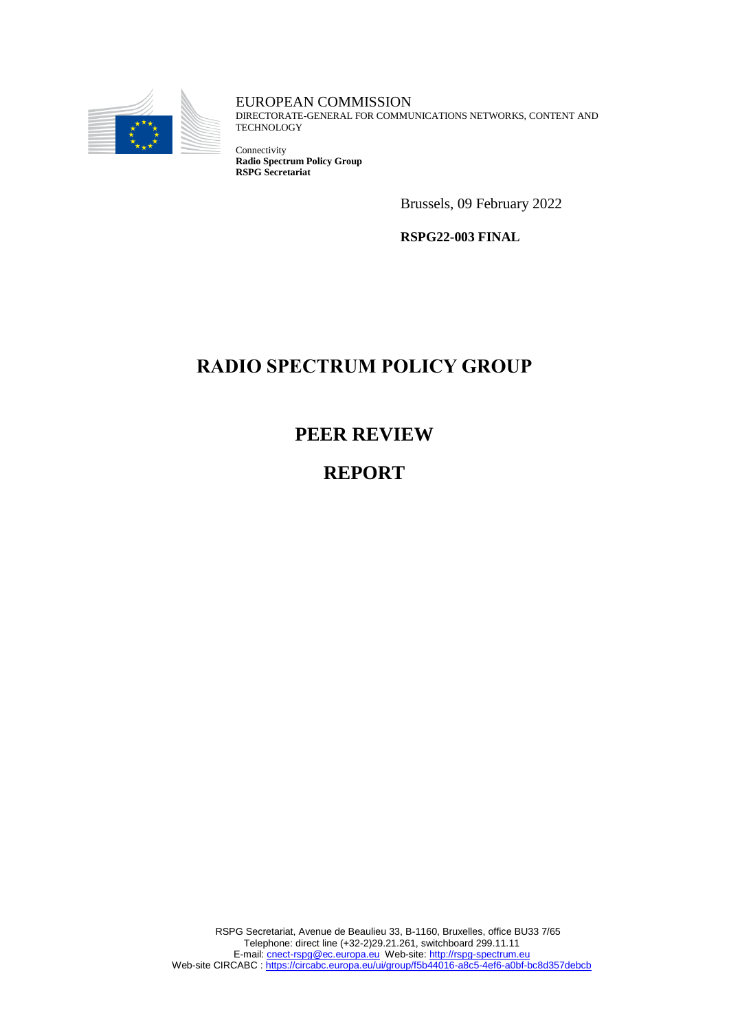

EUROPEAN COMMISSION DIRECTORATE-GENERAL FOR COMMUNICATIONS NETWORKS, CONTENT AND **TECHNOLOGY** 

Connectivity **Radio Spectrum Policy Group RSPG Secretariat**

Brussels, 09 February 2022

**RSPG22-003 FINAL**

# **RADIO SPECTRUM POLICY GROUP**

**PEER REVIEW**

**REPORT**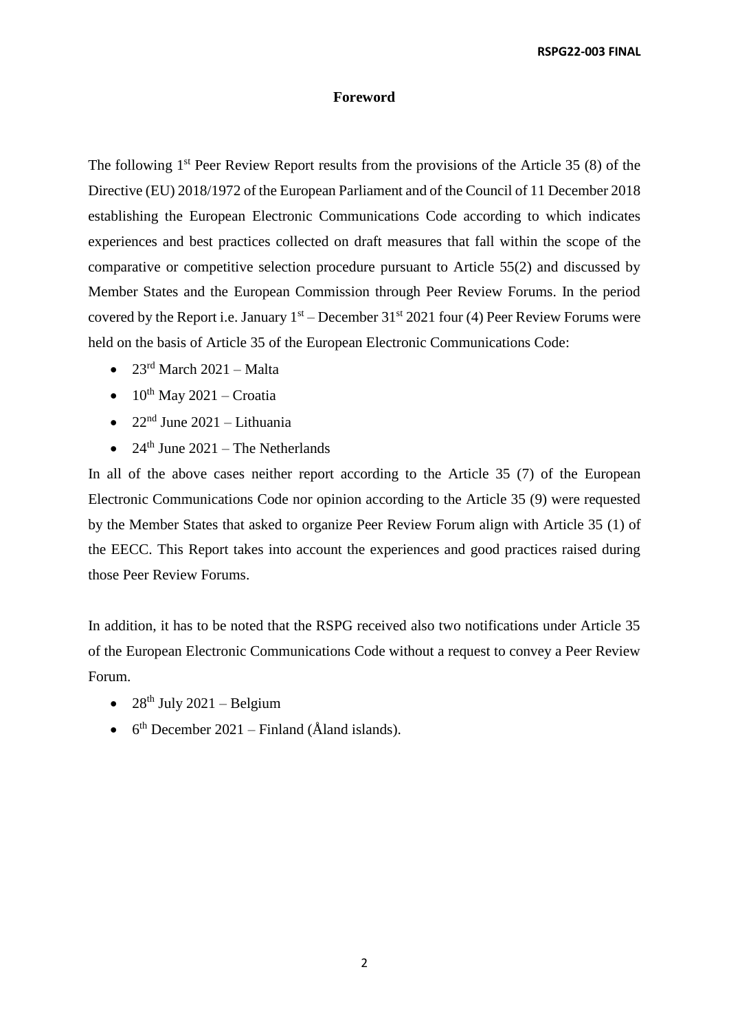#### **Foreword**

The following 1<sup>st</sup> Peer Review Report results from the provisions of the Article 35 (8) of the Directive (EU) 2018/1972 of the European Parliament and of the Council of 11 December 2018 establishing the European Electronic Communications Code according to which indicates experiences and best practices collected on draft measures that fall within the scope of the comparative or competitive selection procedure pursuant to Article 55(2) and discussed by Member States and the European Commission through Peer Review Forums. In the period covered by the Report i.e. January  $1<sup>st</sup>$  – December 31<sup>st</sup> 2021 four (4) Peer Review Forums were held on the basis of Article 35 of the European Electronic Communications Code:

- $23<sup>rd</sup> March 2021 Malta$
- $\bullet$  10<sup>th</sup> May 2021 Croatia
- $22<sup>nd</sup>$  June 2021 Lithuania
- $24<sup>th</sup>$  June 2021 The Netherlands

In all of the above cases neither report according to the Article 35 (7) of the European Electronic Communications Code nor opinion according to the Article 35 (9) were requested by the Member States that asked to organize Peer Review Forum align with Article 35 (1) of the EECC. This Report takes into account the experiences and good practices raised during those Peer Review Forums.

In addition, it has to be noted that the RSPG received also two notifications under Article 35 of the European Electronic Communications Code without a request to convey a Peer Review Forum.

- $\bullet$  28<sup>th</sup> July 2021 Belgium
- $6<sup>th</sup>$  December 2021 Finland (Åland islands).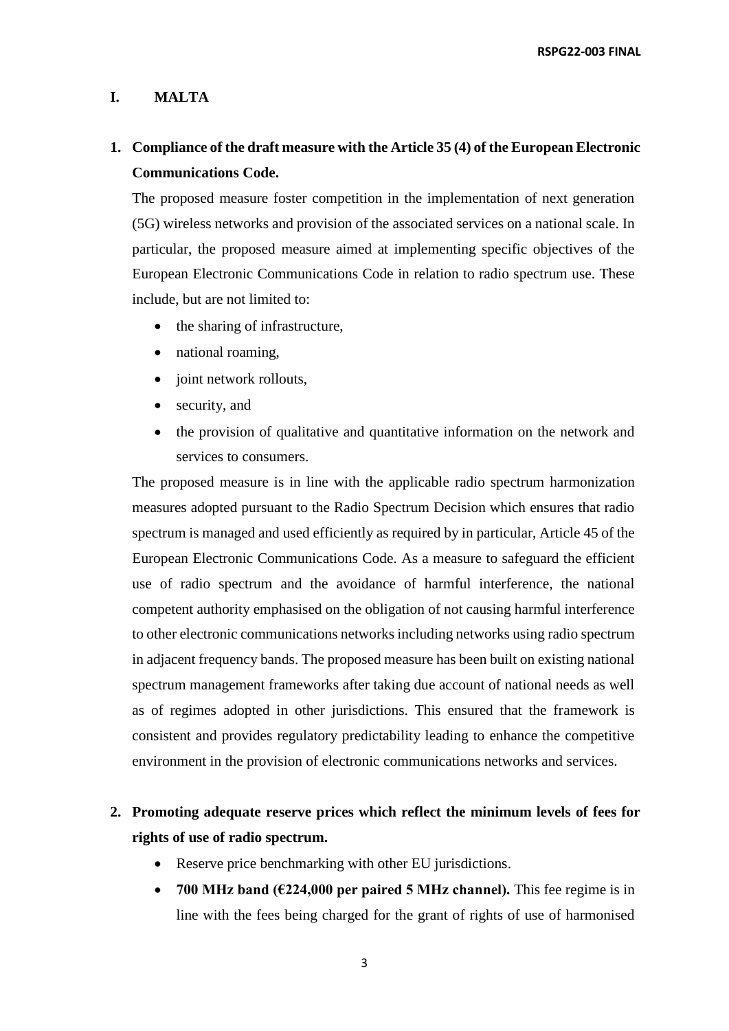#### **I. MALTA**

# **1. Compliance of the draft measure with the Article 35 (4) of the European Electronic Communications Code.**

The proposed measure foster competition in the implementation of next generation (5G) wireless networks and provision of the associated services on a national scale. In particular, the proposed measure aimed at implementing specific objectives of the European Electronic Communications Code in relation to radio spectrum use. These include, but are not limited to:

- the sharing of infrastructure,
- national roaming,
- joint network rollouts,
- security, and
- the provision of qualitative and quantitative information on the network and services to consumers.

The proposed measure is in line with the applicable radio spectrum harmonization measures adopted pursuant to the Radio Spectrum Decision which ensures that radio spectrum is managed and used efficiently as required by in particular, Article 45 of the European Electronic Communications Code. As a measure to safeguard the efficient use of radio spectrum and the avoidance of harmful interference, the national competent authority emphasised on the obligation of not causing harmful interference to other electronic communications networks including networks using radio spectrum in adjacent frequency bands. The proposed measure has been built on existing national spectrum management frameworks after taking due account of national needs as well as of regimes adopted in other jurisdictions. This ensured that the framework is consistent and provides regulatory predictability leading to enhance the competitive environment in the provision of electronic communications networks and services.

# **2. Promoting adequate reserve prices which reflect the minimum levels of fees for rights of use of radio spectrum.**

- Reserve price benchmarking with other EU jurisdictions.
- **700 MHz band (€224,000 per paired 5 MHz channel).** This fee regime is in line with the fees being charged for the grant of rights of use of harmonised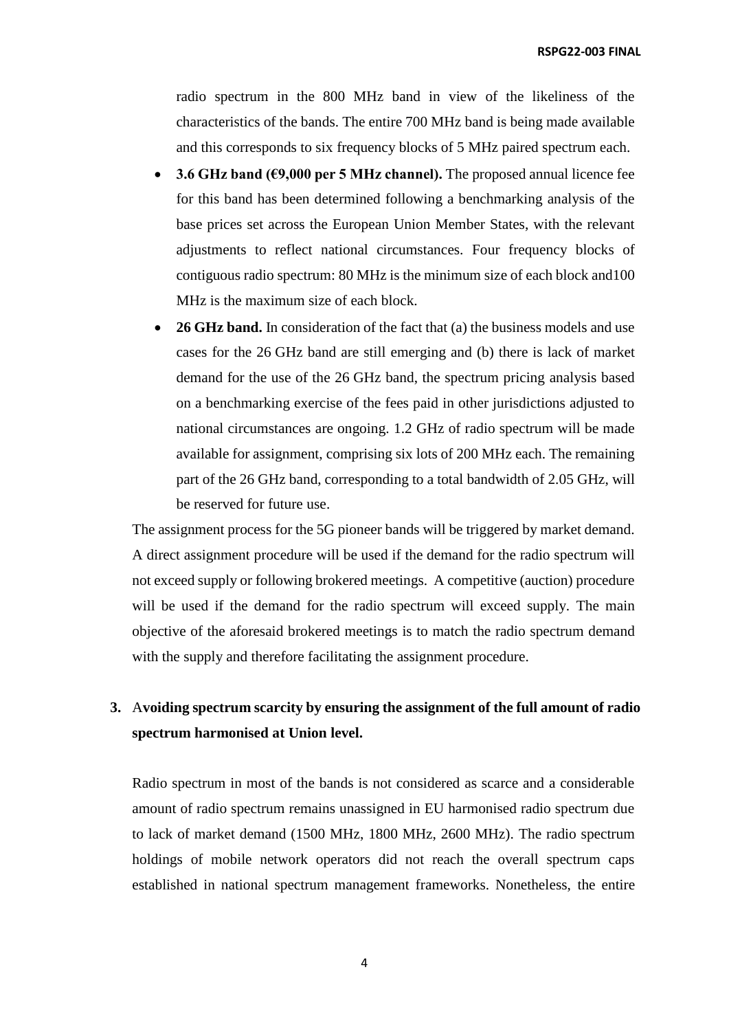radio spectrum in the 800 MHz band in view of the likeliness of the characteristics of the bands. The entire 700 MHz band is being made available and this corresponds to six frequency blocks of 5 MHz paired spectrum each.

- **3.6 GHz band (€9,000 per 5 MHz channel).** The proposed annual licence fee for this band has been determined following a benchmarking analysis of the base prices set across the European Union Member States, with the relevant adjustments to reflect national circumstances. Four frequency blocks of contiguous radio spectrum: 80 MHz is the minimum size of each block and100 MHz is the maximum size of each block.
- **26 GHz band.** In consideration of the fact that (a) the business models and use cases for the 26 GHz band are still emerging and (b) there is lack of market demand for the use of the 26 GHz band, the spectrum pricing analysis based on a benchmarking exercise of the fees paid in other jurisdictions adjusted to national circumstances are ongoing. 1.2 GHz of radio spectrum will be made available for assignment, comprising six lots of 200 MHz each. The remaining part of the 26 GHz band, corresponding to a total bandwidth of 2.05 GHz, will be reserved for future use.

The assignment process for the 5G pioneer bands will be triggered by market demand. A direct assignment procedure will be used if the demand for the radio spectrum will not exceed supply or following brokered meetings. A competitive (auction) procedure will be used if the demand for the radio spectrum will exceed supply. The main objective of the aforesaid brokered meetings is to match the radio spectrum demand with the supply and therefore facilitating the assignment procedure.

#### **3.** A**voiding spectrum scarcity by ensuring the assignment of the full amount of radio spectrum harmonised at Union level.**

Radio spectrum in most of the bands is not considered as scarce and a considerable amount of radio spectrum remains unassigned in EU harmonised radio spectrum due to lack of market demand (1500 MHz, 1800 MHz, 2600 MHz). The radio spectrum holdings of mobile network operators did not reach the overall spectrum caps established in national spectrum management frameworks. Nonetheless, the entire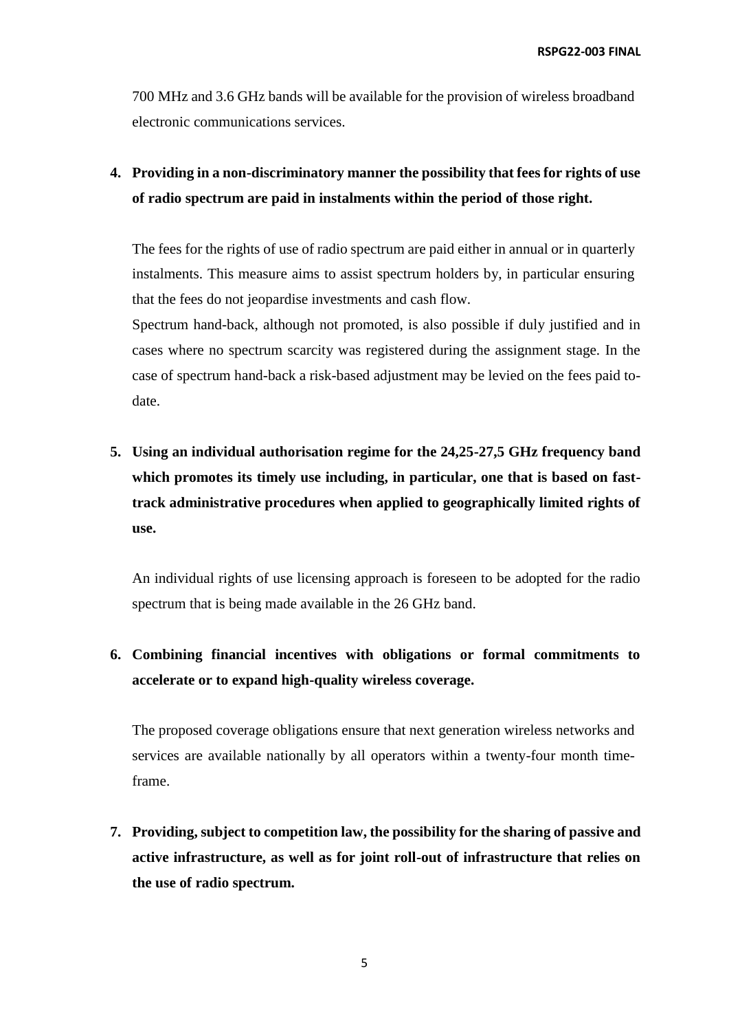700 MHz and 3.6 GHz bands will be available for the provision of wireless broadband electronic communications services.

# **4. Providing in a non-discriminatory manner the possibility that fees for rights of use of radio spectrum are paid in instalments within the period of those right.**

The fees for the rights of use of radio spectrum are paid either in annual or in quarterly instalments. This measure aims to assist spectrum holders by, in particular ensuring that the fees do not jeopardise investments and cash flow.

Spectrum hand-back, although not promoted, is also possible if duly justified and in cases where no spectrum scarcity was registered during the assignment stage. In the case of spectrum hand-back a risk-based adjustment may be levied on the fees paid todate.

**5. Using an individual authorisation regime for the 24,25-27,5 GHz frequency band which promotes its timely use including, in particular, one that is based on fasttrack administrative procedures when applied to geographically limited rights of use.**

An individual rights of use licensing approach is foreseen to be adopted for the radio spectrum that is being made available in the 26 GHz band.

# **6. Combining financial incentives with obligations or formal commitments to accelerate or to expand high-quality wireless coverage.**

The proposed coverage obligations ensure that next generation wireless networks and services are available nationally by all operators within a twenty-four month timeframe.

**7. Providing, subject to competition law, the possibility for the sharing of passive and active infrastructure, as well as for joint roll-out of infrastructure that relies on the use of radio spectrum.**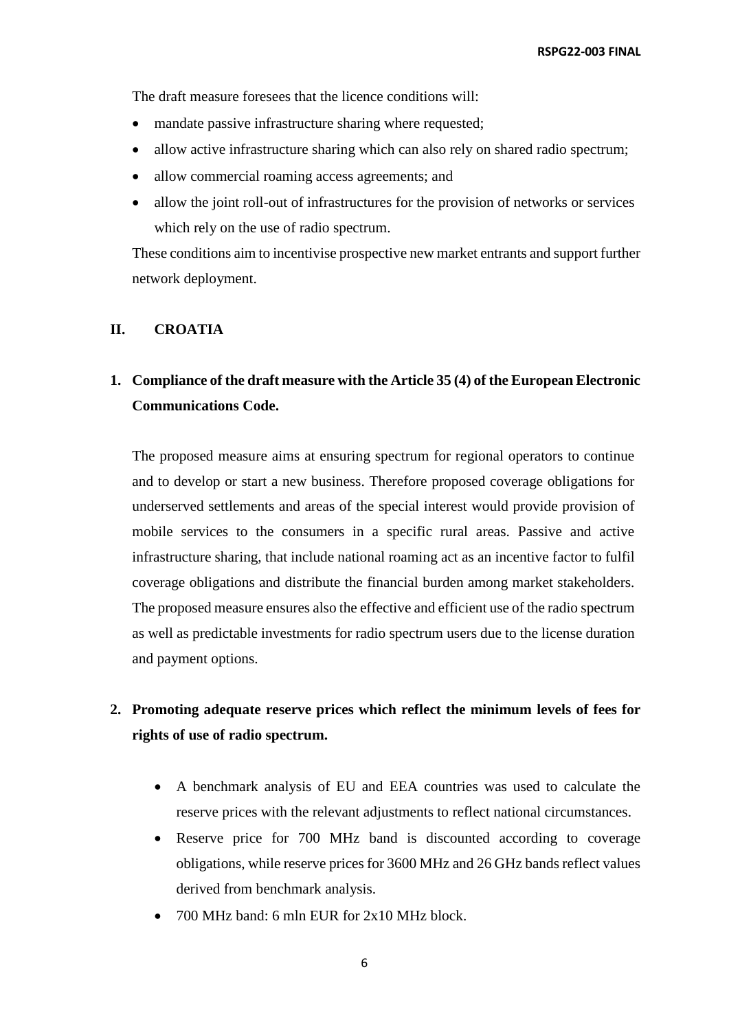The draft measure foresees that the licence conditions will:

- mandate passive infrastructure sharing where requested;
- allow active infrastructure sharing which can also rely on shared radio spectrum;
- allow commercial roaming access agreements; and
- allow the joint roll-out of infrastructures for the provision of networks or services which rely on the use of radio spectrum.

These conditions aim to incentivise prospective new market entrants and support further network deployment.

#### **II. CROATIA**

### **1. Compliance of the draft measure with the Article 35 (4) of the European Electronic Communications Code.**

The proposed measure aims at ensuring spectrum for regional operators to continue and to develop or start a new business. Therefore proposed coverage obligations for underserved settlements and areas of the special interest would provide provision of mobile services to the consumers in a specific rural areas. Passive and active infrastructure sharing, that include national roaming act as an incentive factor to fulfil coverage obligations and distribute the financial burden among market stakeholders. The proposed measure ensures also the effective and efficient use of the radio spectrum as well as predictable investments for radio spectrum users due to the license duration and payment options.

### **2. Promoting adequate reserve prices which reflect the minimum levels of fees for rights of use of radio spectrum.**

- A benchmark analysis of EU and EEA countries was used to calculate the reserve prices with the relevant adjustments to reflect national circumstances.
- Reserve price for 700 MHz band is discounted according to coverage obligations, while reserve prices for 3600 MHz and 26 GHz bands reflect values derived from benchmark analysis.
- $\bullet$  700 MHz band: 6 mln EUR for 2x10 MHz block.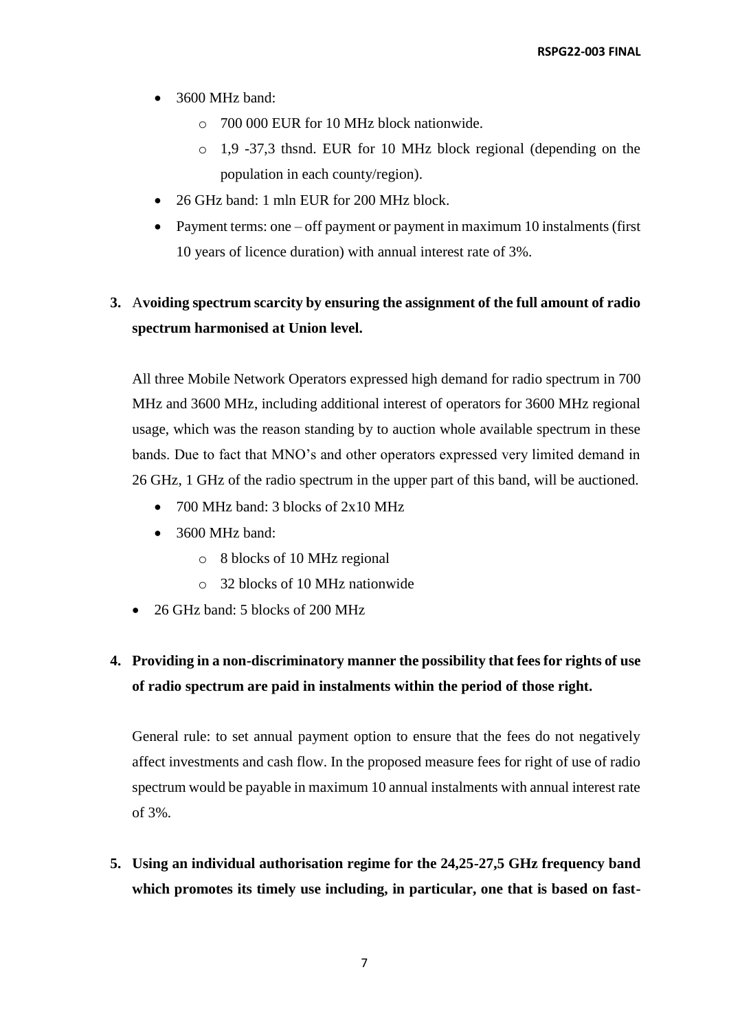- 3600 MHz band:
	- o 700 000 EUR for 10 MHz block nationwide.
	- o 1,9 -37,3 thsnd. EUR for 10 MHz block regional (depending on the population in each county/region).
- 26 GHz band: 1 mln EUR for 200 MHz block.
- Payment terms: one off payment or payment in maximum 10 instalments (first 10 years of licence duration) with annual interest rate of 3%.

# **3.** A**voiding spectrum scarcity by ensuring the assignment of the full amount of radio spectrum harmonised at Union level.**

All three Mobile Network Operators expressed high demand for radio spectrum in 700 MHz and 3600 MHz, including additional interest of operators for 3600 MHz regional usage, which was the reason standing by to auction whole available spectrum in these bands. Due to fact that MNO's and other operators expressed very limited demand in 26 GHz, 1 GHz of the radio spectrum in the upper part of this band, will be auctioned.

- 700 MHz band: 3 blocks of  $2x10$  MHz
- $\bullet$  3600 MHz band:
	- o 8 blocks of 10 MHz regional
	- o 32 blocks of 10 MHz nationwide
- 26 GHz band: 5 blocks of 200 MHz

# **4. Providing in a non-discriminatory manner the possibility that fees for rights of use of radio spectrum are paid in instalments within the period of those right.**

General rule: to set annual payment option to ensure that the fees do not negatively affect investments and cash flow. In the proposed measure fees for right of use of radio spectrum would be payable in maximum 10 annual instalments with annual interest rate of 3%.

**5. Using an individual authorisation regime for the 24,25-27,5 GHz frequency band which promotes its timely use including, in particular, one that is based on fast-**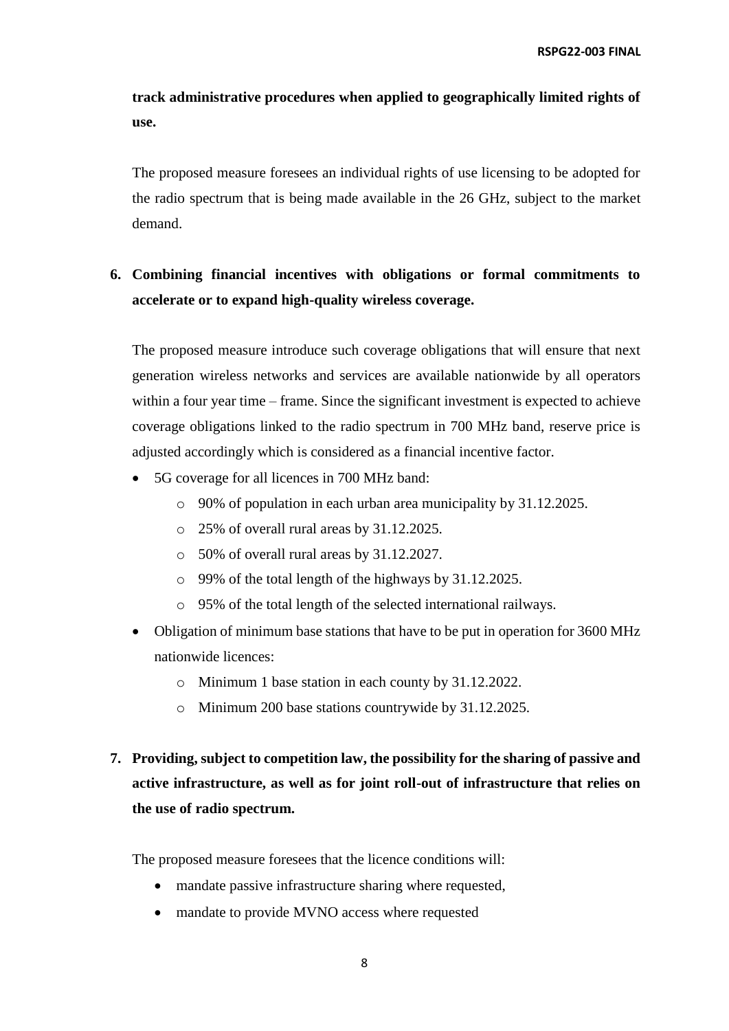**track administrative procedures when applied to geographically limited rights of use.**

The proposed measure foresees an individual rights of use licensing to be adopted for the radio spectrum that is being made available in the 26 GHz, subject to the market demand.

### **6. Combining financial incentives with obligations or formal commitments to accelerate or to expand high-quality wireless coverage.**

The proposed measure introduce such coverage obligations that will ensure that next generation wireless networks and services are available nationwide by all operators within a four year time – frame. Since the significant investment is expected to achieve coverage obligations linked to the radio spectrum in 700 MHz band, reserve price is adjusted accordingly which is considered as a financial incentive factor.

- 5G coverage for all licences in 700 MHz band:
	- o 90% of population in each urban area municipality by 31.12.2025.
	- o 25% of overall rural areas by 31.12.2025.
	- o 50% of overall rural areas by 31.12.2027.
	- o 99% of the total length of the highways by 31.12.2025.
	- o 95% of the total length of the selected international railways.
- Obligation of minimum base stations that have to be put in operation for 3600 MHz nationwide licences:
	- o Minimum 1 base station in each county by 31.12.2022.
	- o Minimum 200 base stations countrywide by 31.12.2025.
- **7. Providing, subject to competition law, the possibility for the sharing of passive and active infrastructure, as well as for joint roll-out of infrastructure that relies on the use of radio spectrum.**

The proposed measure foresees that the licence conditions will:

- mandate passive infrastructure sharing where requested,
- mandate to provide MVNO access where requested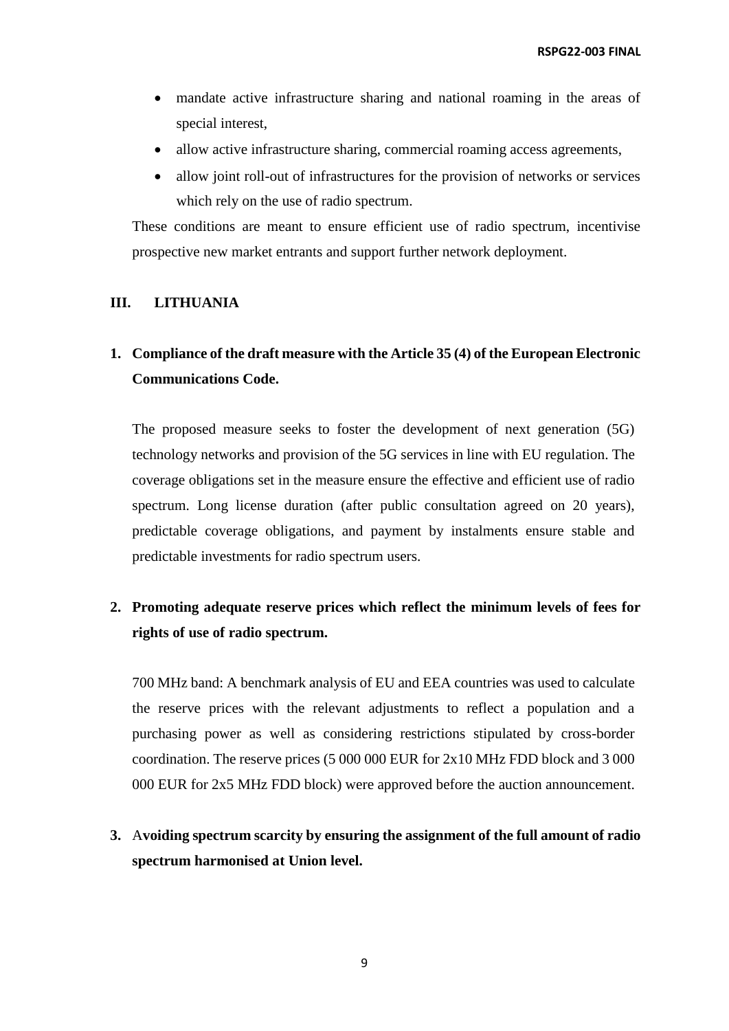- mandate active infrastructure sharing and national roaming in the areas of special interest,
- allow active infrastructure sharing, commercial roaming access agreements,
- allow joint roll-out of infrastructures for the provision of networks or services which rely on the use of radio spectrum.

These conditions are meant to ensure efficient use of radio spectrum, incentivise prospective new market entrants and support further network deployment.

#### **III. LITHUANIA**

### **1. Compliance of the draft measure with the Article 35 (4) of the European Electronic Communications Code.**

The proposed measure seeks to foster the development of next generation (5G) technology networks and provision of the 5G services in line with EU regulation. The coverage obligations set in the measure ensure the effective and efficient use of radio spectrum. Long license duration (after public consultation agreed on 20 years), predictable coverage obligations, and payment by instalments ensure stable and predictable investments for radio spectrum users.

#### **2. Promoting adequate reserve prices which reflect the minimum levels of fees for rights of use of radio spectrum.**

700 MHz band: A benchmark analysis of EU and EEA countries was used to calculate the reserve prices with the relevant adjustments to reflect a population and a purchasing power as well as considering restrictions stipulated by cross-border coordination. The reserve prices (5 000 000 EUR for 2x10 MHz FDD block and 3 000 000 EUR for 2x5 MHz FDD block) were approved before the auction announcement.

**3.** A**voiding spectrum scarcity by ensuring the assignment of the full amount of radio spectrum harmonised at Union level.**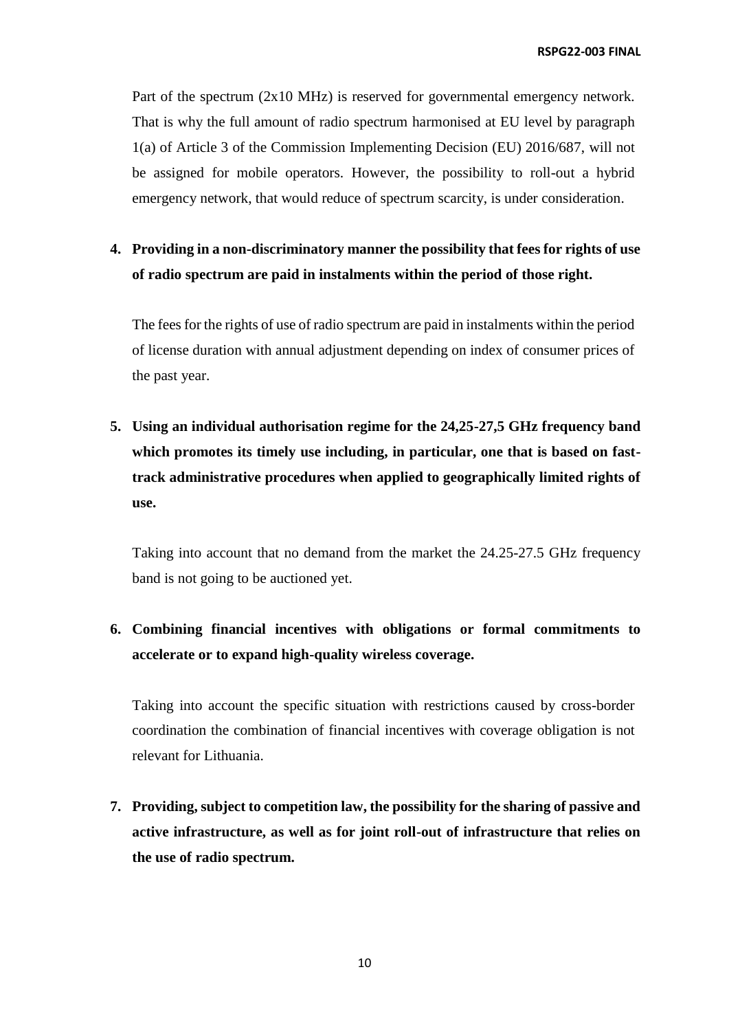Part of the spectrum (2x10 MHz) is reserved for governmental emergency network. That is why the full amount of radio spectrum harmonised at EU level by paragraph 1(a) of Article 3 of the Commission Implementing Decision (EU) 2016/687, will not be assigned for mobile operators. However, the possibility to roll-out a hybrid emergency network, that would reduce of spectrum scarcity, is under consideration.

# **4. Providing in a non-discriminatory manner the possibility that fees for rights of use of radio spectrum are paid in instalments within the period of those right.**

The fees for the rights of use of radio spectrum are paid in instalments within the period of license duration with annual adjustment depending on index of consumer prices of the past year.

**5. Using an individual authorisation regime for the 24,25-27,5 GHz frequency band which promotes its timely use including, in particular, one that is based on fasttrack administrative procedures when applied to geographically limited rights of use.**

Taking into account that no demand from the market the 24.25-27.5 GHz frequency band is not going to be auctioned yet.

# **6. Combining financial incentives with obligations or formal commitments to accelerate or to expand high-quality wireless coverage.**

Taking into account the specific situation with restrictions caused by cross-border coordination the combination of financial incentives with coverage obligation is not relevant for Lithuania.

**7. Providing, subject to competition law, the possibility for the sharing of passive and active infrastructure, as well as for joint roll-out of infrastructure that relies on the use of radio spectrum.**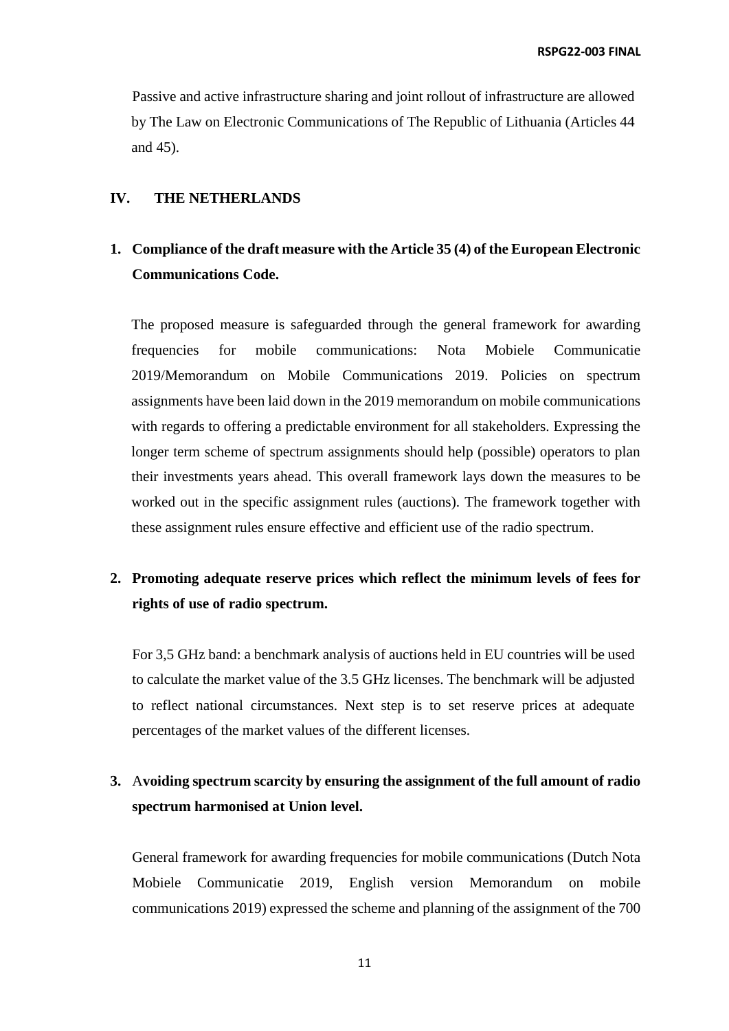Passive and active infrastructure sharing and joint rollout of infrastructure are allowed by The Law on Electronic Communications of The Republic of Lithuania (Articles 44 and 45).

#### **IV. THE NETHERLANDS**

### **1. Compliance of the draft measure with the Article 35 (4) of the European Electronic Communications Code.**

The proposed measure is safeguarded through the general framework for awarding frequencies for mobile communications: Nota Mobiele Communicatie 2019/Memorandum on Mobile Communications 2019. Policies on spectrum assignments have been laid down in the 2019 memorandum on mobile communications with regards to offering a predictable environment for all stakeholders. Expressing the longer term scheme of spectrum assignments should help (possible) operators to plan their investments years ahead. This overall framework lays down the measures to be worked out in the specific assignment rules (auctions). The framework together with these assignment rules ensure effective and efficient use of the radio spectrum.

### **2. Promoting adequate reserve prices which reflect the minimum levels of fees for rights of use of radio spectrum.**

For 3,5 GHz band: a benchmark analysis of auctions held in EU countries will be used to calculate the market value of the 3.5 GHz licenses. The benchmark will be adjusted to reflect national circumstances. Next step is to set reserve prices at adequate percentages of the market values of the different licenses.

### **3.** A**voiding spectrum scarcity by ensuring the assignment of the full amount of radio spectrum harmonised at Union level.**

General framework for awarding frequencies for mobile communications (Dutch Nota Mobiele Communicatie 2019, English version Memorandum on mobile communications 2019) expressed the scheme and planning of the assignment of the 700

11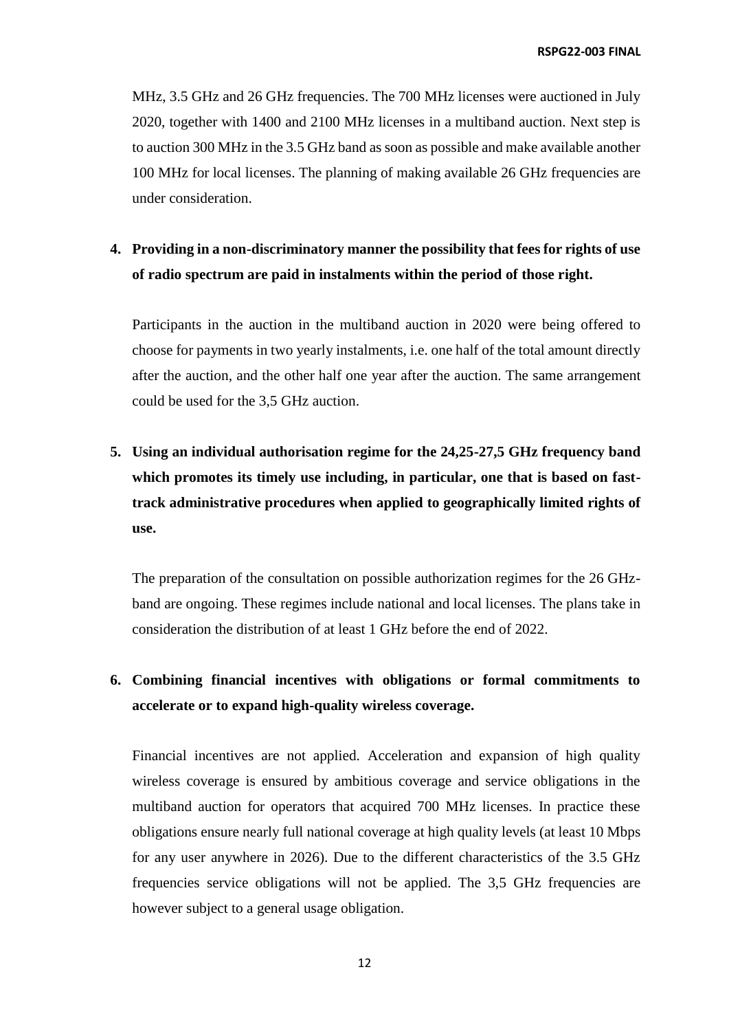MHz, 3.5 GHz and 26 GHz frequencies. The 700 MHz licenses were auctioned in July 2020, together with 1400 and 2100 MHz licenses in a multiband auction. Next step is to auction 300 MHz in the 3.5 GHz band as soon as possible and make available another 100 MHz for local licenses. The planning of making available 26 GHz frequencies are under consideration.

### **4. Providing in a non-discriminatory manner the possibility that fees for rights of use of radio spectrum are paid in instalments within the period of those right.**

Participants in the auction in the multiband auction in 2020 were being offered to choose for payments in two yearly instalments, i.e. one half of the total amount directly after the auction, and the other half one year after the auction. The same arrangement could be used for the 3,5 GHz auction.

**5. Using an individual authorisation regime for the 24,25-27,5 GHz frequency band which promotes its timely use including, in particular, one that is based on fasttrack administrative procedures when applied to geographically limited rights of use.**

The preparation of the consultation on possible authorization regimes for the 26 GHzband are ongoing. These regimes include national and local licenses. The plans take in consideration the distribution of at least 1 GHz before the end of 2022.

# **6. Combining financial incentives with obligations or formal commitments to accelerate or to expand high-quality wireless coverage.**

Financial incentives are not applied. Acceleration and expansion of high quality wireless coverage is ensured by ambitious coverage and service obligations in the multiband auction for operators that acquired 700 MHz licenses. In practice these obligations ensure nearly full national coverage at high quality levels (at least 10 Mbps for any user anywhere in 2026). Due to the different characteristics of the 3.5 GHz frequencies service obligations will not be applied. The 3,5 GHz frequencies are however subject to a general usage obligation.